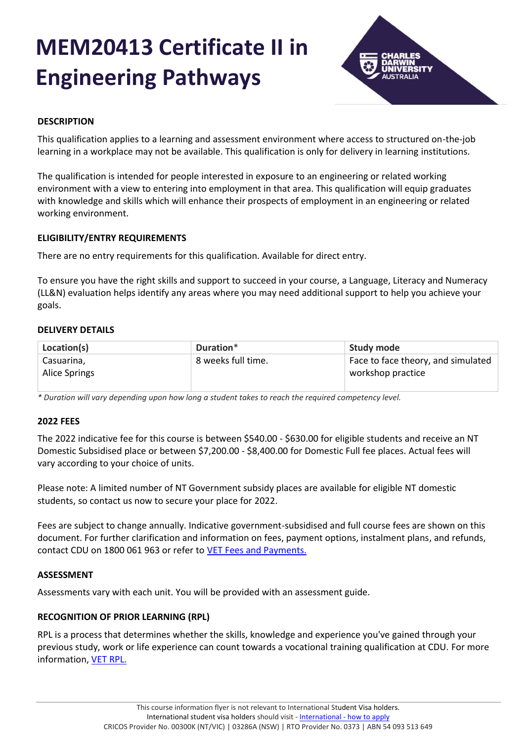# **MEM20413 Certificate II in Engineering Pathways**



# **DESCRIPTION**

This qualification applies to a learning and assessment environment where access to structured on-the-job learning in a workplace may not be available. This qualification is only for delivery in learning institutions.

The qualification is intended for people interested in exposure to an engineering or related working environment with a view to entering into employment in that area. This qualification will equip graduates with knowledge and skills which will enhance their prospects of employment in an engineering or related working environment.

## **ELIGIBILITY/ENTRY REQUIREMENTS**

There are no entry requirements for this qualification. Available for direct entry.

To ensure you have the right skills and support to succeed in your course, a Language, Literacy and Numeracy (LL&N) evaluation helps identify any areas where you may need additional support to help you achieve your goals.

## **DELIVERY DETAILS**

| Location(s)                 | Duration*          | <b>Study mode</b>                                       |
|-----------------------------|--------------------|---------------------------------------------------------|
| Casuarina,<br>Alice Springs | 8 weeks full time. | Face to face theory, and simulated<br>workshop practice |
|                             |                    |                                                         |

*\* Duration will vary depending upon how long a student takes to reach the required competency level.*

## **2022 FEES**

The 2022 indicative fee for this course is between \$540.00 - \$630.00 for eligible students and receive an NT Domestic Subsidised place or between \$7,200.00 - \$8,400.00 for Domestic Full fee places. Actual fees will vary according to your choice of units.

Please note: A limited number of NT Government subsidy places are available for eligible NT domestic students, so contact us now to secure your place for 2022.

Fees are subject to change annually. Indicative government-subsidised and full course fees are shown on this document. For further clarification and information on fees, payment options, instalment plans, and refunds, contact CDU on 1800 061 963 or refer to [VET Fees and Payments.](https://www.cdu.edu.au/current-students/student-admin/fees-payments)

## **ASSESSMENT**

Assessments vary with each unit. You will be provided with an assessment guide.

## **RECOGNITION OF PRIOR LEARNING (RPL)**

RPL is a process that determines whether the skills, knowledge and experience you've gained through your previous study, work or life experience can count towards a vocational training qualification at CDU. For more information, [VET RPL.](https://www.cdu.edu.au/study/vocational-education-training/rpl)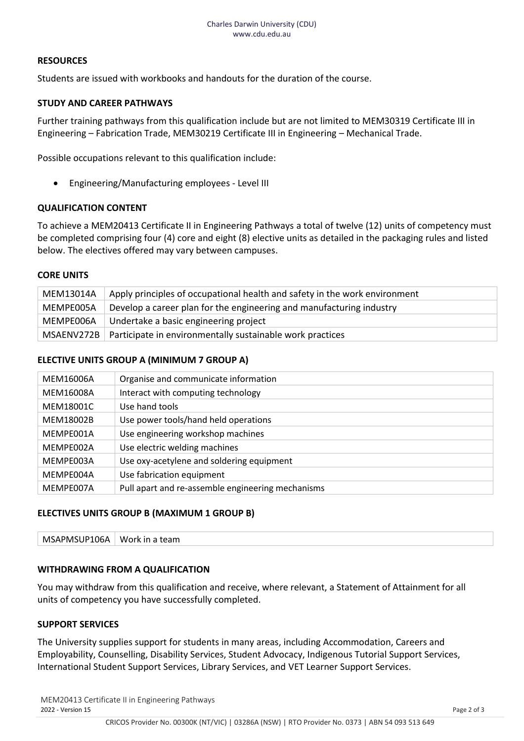## **RESOURCES**

Students are issued with workbooks and handouts for the duration of the course.

#### **STUDY AND CAREER PATHWAYS**

Further training pathways from this qualification include but are not limited to MEM30319 Certificate III in Engineering – Fabrication Trade, MEM30219 Certificate III in Engineering – Mechanical Trade.

Possible occupations relevant to this qualification include:

• Engineering/Manufacturing employees - Level III

## **QUALIFICATION CONTENT**

To achieve a MEM20413 Certificate II in Engineering Pathways a total of twelve (12) units of competency must be completed comprising four (4) core and eight (8) elective units as detailed in the packaging rules and listed below. The electives offered may vary between campuses.

#### **CORE UNITS**

| MEM13014A | Apply principles of occupational health and safety in the work environment |
|-----------|----------------------------------------------------------------------------|
| MEMPE005A | Develop a career plan for the engineering and manufacturing industry       |
| MEMPE006A | Undertake a basic engineering project                                      |
|           | MSAENV272B   Participate in environmentally sustainable work practices     |

#### **ELECTIVE UNITS GROUP A (MINIMUM 7 GROUP A)**

| MEM16006A | Organise and communicate information              |
|-----------|---------------------------------------------------|
| MEM16008A | Interact with computing technology                |
| MEM18001C | Use hand tools                                    |
| MEM18002B | Use power tools/hand held operations              |
| MEMPE001A | Use engineering workshop machines                 |
| MEMPE002A | Use electric welding machines                     |
| MEMPE003A | Use oxy-acetylene and soldering equipment         |
| MEMPE004A | Use fabrication equipment                         |
| MEMPE007A | Pull apart and re-assemble engineering mechanisms |

## **ELECTIVES UNITS GROUP B (MAXIMUM 1 GROUP B)**

| MS          | Work in |
|-------------|---------|
| SAPMSUP106A | `team   |

#### **WITHDRAWING FROM A QUALIFICATION**

You may withdraw from this qualification and receive, where relevant, a Statement of Attainment for all units of competency you have successfully completed.

#### **SUPPORT SERVICES**

The University supplies support for students in many areas, including Accommodation, Careers and Employability, Counselling, Disability Services, Student Advocacy, Indigenous Tutorial Support Services, International Student Support Services, Library Services, and VET Learner Support Services.